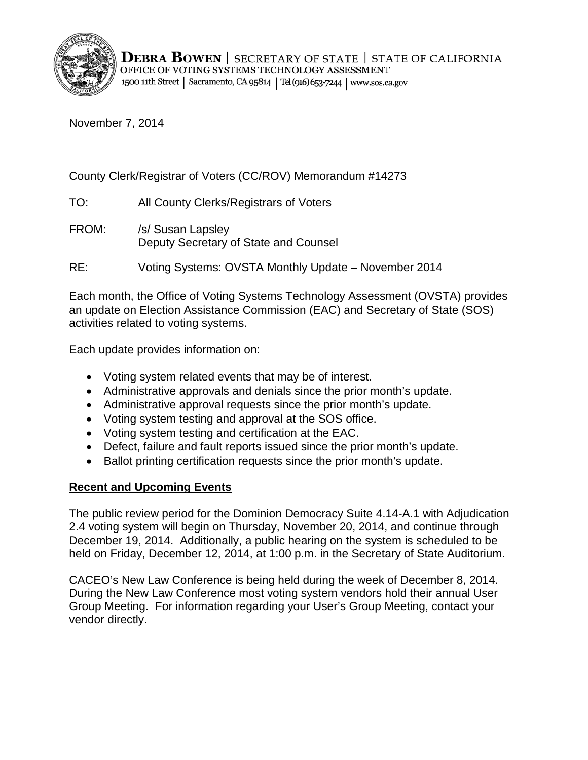

November 7, 2014

County Clerk/Registrar of Voters (CC/ROV) Memorandum #14273

TO: All County Clerks/Registrars of Voters

FROM: /s/ Susan Lapsley Deputy Secretary of State and Counsel

RE: Voting Systems: OVSTA Monthly Update – November 2014

Each month, the Office of Voting Systems Technology Assessment (OVSTA) provides an update on Election Assistance Commission (EAC) and Secretary of State (SOS) activities related to voting systems.

Each update provides information on:

- Voting system related events that may be of interest.
- Administrative approvals and denials since the prior month's update.
- Administrative approval requests since the prior month's update.
- Voting system testing and approval at the SOS office.
- Voting system testing and certification at the EAC.
- Defect, failure and fault reports issued since the prior month's update.
- Ballot printing certification requests since the prior month's update.

# **Recent and Upcoming Events**

The public review period for the Dominion Democracy Suite 4.14-A.1 with Adjudication 2.4 voting system will begin on Thursday, November 20, 2014, and continue through December 19, 2014. Additionally, a public hearing on the system is scheduled to be held on Friday, December 12, 2014, at 1:00 p.m. in the Secretary of State Auditorium.

CACEO's New Law Conference is being held during the week of December 8, 2014. During the New Law Conference most voting system vendors hold their annual User Group Meeting. For information regarding your User's Group Meeting, contact your vendor directly.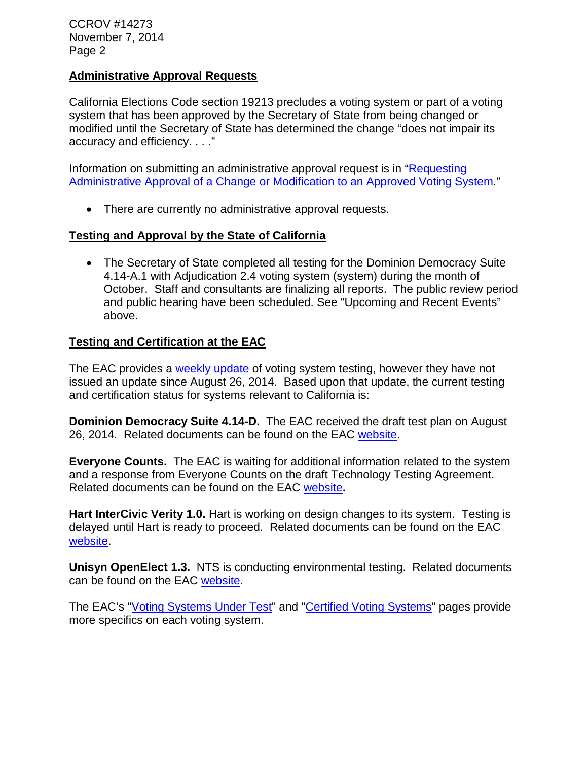CCROV #14273 November 7, 2014 Page 2

#### **Administrative Approval Requests**

California Elections Code section 19213 precludes a voting system or part of a voting system that has been approved by the Secretary of State from being changed or modified until the Secretary of State has determined the change "does not impair its accuracy and efficiency. . . ."

Information on submitting an administrative approval request is in ["Requesting](http://www.sos.ca.gov/voting-systems/cert-and-approval/vsysapproval/admin-approval-requirements2012.pdf)  [Administrative Approval of a Change or Modification to an Approved Voting System.](http://www.sos.ca.gov/voting-systems/cert-and-approval/vsysapproval/admin-approval-requirements2012.pdf)"

• There are currently no administrative approval requests.

## **Testing and Approval by the State of California**

• The Secretary of State completed all testing for the Dominion Democracy Suite 4.14-A.1 with Adjudication 2.4 voting system (system) during the month of October. Staff and consultants are finalizing all reports. The public review period and public hearing have been scheduled. See "Upcoming and Recent Events" above.

## **Testing and Certification at the EAC**

The EAC provides a [weekly update](http://www.eac.gov/blogs/voting_system_testing_update_82614/) of voting system testing, however they have not issued an update since August 26, 2014. Based upon that update, the current testing and certification status for systems relevant to California is:

**Dominion Democracy Suite 4.14-D.** The EAC received the draft test plan on August 26, 2014. Related documents can be found on the EAC [website.](http://www.eac.gov/testing_and_certification/voting_systems_under_test.aspx)

**Everyone Counts.** The EAC is waiting for additional information related to the system and a response from Everyone Counts on the draft Technology Testing Agreement. Related documents can be found on the EAC [website](http://www.eac.gov/testing_and_certification/voting_systems_under_test.aspx)**.**

**Hart InterCivic Verity 1.0.** Hart is working on design changes to its system. Testing is delayed until Hart is ready to proceed. Related documents can be found on the EAC [website.](http://www.eac.gov/testing_and_certification/voting_systems_under_test.aspx)

**Unisyn OpenElect 1.3.** NTS is conducting environmental testing. Related documents can be found on the EAC [website.](http://www.eac.gov/testing_and_certification/voting_systems_under_test.aspx)

The EAC's ["Voting Systems Under Test"](http://www.eac.gov/testing_and_certification/voting_systems_under_test.aspx) and ["Certified Voting Systems"](http://www.eac.gov/testing_and_certification/certified_voting_systems.aspx) pages provide more specifics on each voting system.